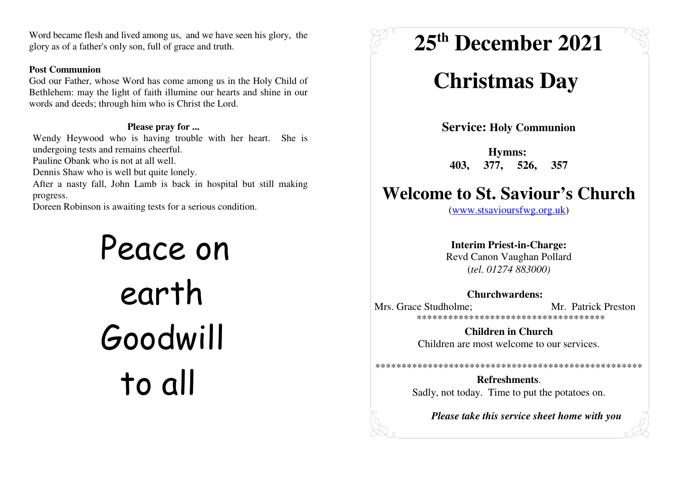Word became flesh and lived among us, and we have seen his glory, the glory as of a father's only son, full of grace and truth.

#### **Post Communion**

God our Father, whose Word has come among us in the Holy Child of Bethlehem: may the light of faith illumine our hearts and shine in our words and deeds; through him who is Christ the Lord.

#### Please pray for ...

Wendy Heywood who is having trouble with her heart. She is undergoing tests and remains cheerful.

Pauline Obank who is not at all well.

Dennis Shaw who is well but quite lonely.

After a nasty fall, John Lamb is back in hospital but still making progress.

Doreen Robinson is awaiting tests for a serious condition.

Peace on earth Goodwill to all

## 25<sup>th</sup> December 2021

# **Christmas Day**

**Service: Holy Communion** 

**Hymns:** 403, 377, 526, 357

### **Welcome to St. Saviour's Church**

(www.stsavioursfwg.org.uk)

**Interim Priest-in-Charge:** Revd Canon Vaughan Pollard

 $(tel. 01274 883000)$ 

#### Churchwardens: Mrs. Grace Studholme: Mr. Patrick Preston \*\*\*\*\*\*\*\*\*\*\*\*\*\*\*\*\*\*\*\*\*\*\*\*\*\*\*\*\*\*\*\*\*\*\*\*\*

**Children in Church** Children are most welcome to our services.

**Refreshments** Sadly, not today. Time to put the potatoes on.

Please take this service sheet home with you